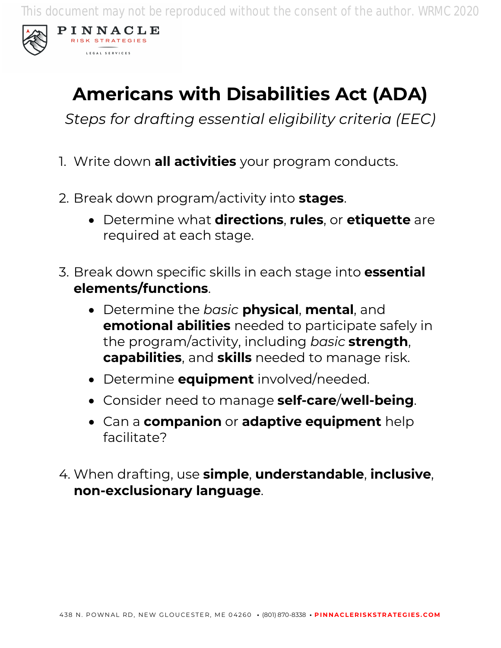This document may not be reproduced without the consent of the author. WRMC 2020



PINNACLE RISK STRATEGIES LEGAL SERVICES

## **Americans with Disabilities Act (ADA)**

*Steps for drafting essential eligibility criteria (EEC)*

- 1. Write down **all activities** your program conducts.
- 2. Break down program/activity into **stages**.
	- Determine what **directions**, **rules**, or **etiquette** are required at each stage.
- 3. Break down specific skills in each stage into **essential elements/functions**.
	- Determine the *basic* **physical**, **mental**, and **emotional abilities** needed to participate safely in the program/activity, including *basic* **strength**, **capabilities**, and **skills** needed to manage risk.
	- Determine **equipment** involved/needed.
	- Consider need to manage **self-care**/**well-being**.
	- Can a **companion** or **adaptive equipment** help facilitate?
- 4. When drafting, use **simple**, **understandable**, **inclusive**, **non-exclusionary language**.